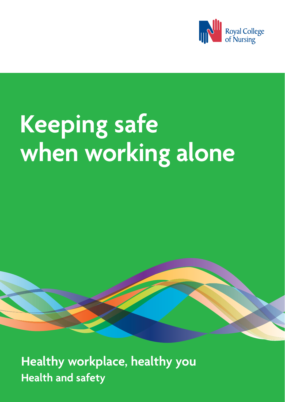

# **Keeping safe when working alone**

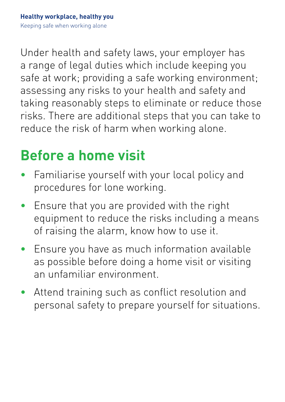Under health and safety laws, your employer has a range of legal duties which include keeping you safe at work; providing a safe working environment; assessing any risks to your health and safety and taking reasonably steps to eliminate or reduce those risks. There are additional steps that you can take to reduce the risk of harm when working alone.

#### **Before a home visit**

- Familiarise yourself with your local policy and procedures for lone working.
- Ensure that you are provided with the right equipment to reduce the risks including a means of raising the alarm, know how to use it.
- Ensure you have as much information available as possible before doing a home visit or visiting an unfamiliar environment.
- Attend training such as conflict resolution and personal safety to prepare yourself for situations.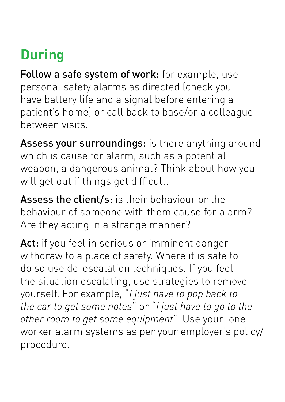### **During**

Follow a safe system of work: for example, use personal safety alarms as directed (check you have battery life and a signal before entering a patient's home) or call back to base/or a colleague between visits.

Assess your surroundings: is there anything around which is cause for alarm, such as a potential weapon, a dangerous animal? Think about how you will get out if things get difficult.

Assess the client/s: is their behaviour or the behaviour of someone with them cause for alarm? Are they acting in a strange manner?

Act: if you feel in serious or imminent danger withdraw to a place of safety. Where it is safe to do so use de-escalation techniques. If you feel the situation escalating, use strategies to remove yourself. For example, "*I just have to pop back to the car to get some notes*" or "*I just have to go to the other room to get some equipment*". Use your lone worker alarm systems as per your employer's policy/ procedure.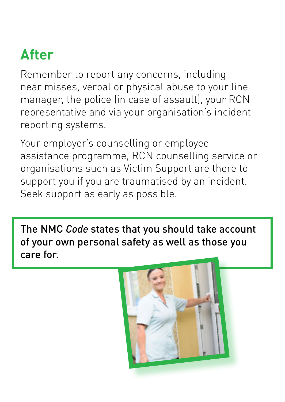#### **After**

Remember to report any concerns, including near misses, verbal or physical abuse to your line manager, the police (in case of assault), your RCN representative and via your organisation's incident reporting systems.

Your employer's counselling or employee assistance programme, RCN counselling service or organisations such as Victim Support are there to support you if you are traumatised by an incident. Seek support as early as possible.

The NMC *Code* states that you should take account of your own personal safety as well as those you care for.

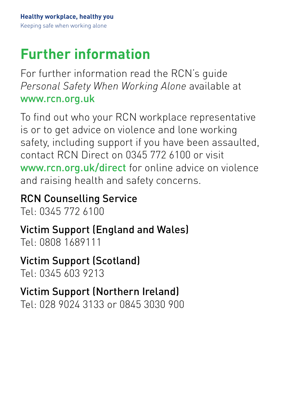## **Further information**

For further information read the RCN's guide *Personal Safety When Working Alone* available at [www.rcn.org.uk](http://www.rcn.org.uk)

To find out who your RCN workplace representative is or to get advice on violence and lone working safety, including support if you have been assaulted, contact RCN Direct on 0345 772 6100 or visit [www.rcn.org.uk/direct](http://www.rcn.org.uk/direct) for online advice on violence and raising health and safety concerns.

RCN Counselling Service

Tel: 0345 772 6100

Victim Support (England and Wales) Tel: 0808 1689111

Victim Support (Scotland)

Tel: 0345 603 9213

#### Victim Support (Northern Ireland)

Tel: 028 9024 3133 or 0845 3030 900